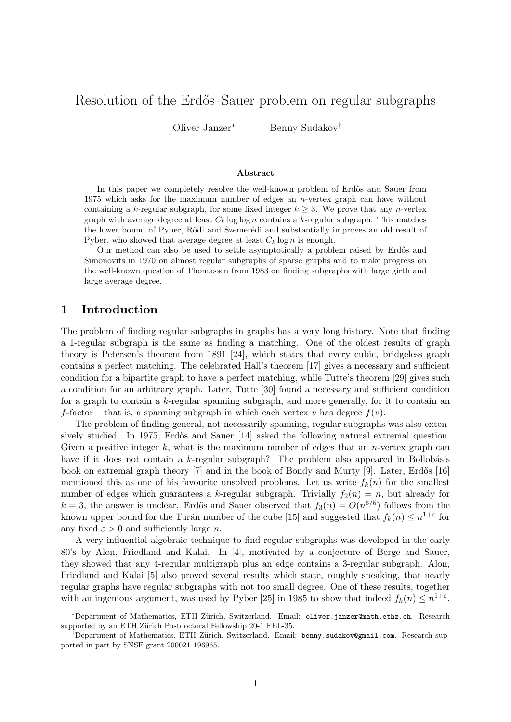# Resolution of the Erdős–Sauer problem on regular subgraphs

Oliver Janzer<sup>∗</sup> Benny Sudakov†

#### Abstract

In this paper we completely resolve the well-known problem of Erdős and Sauer from 1975 which asks for the maximum number of edges an *n*-vertex graph can have without containing a k-regular subgraph, for some fixed integer  $k \geq 3$ . We prove that any *n*-vertex graph with average degree at least  $C_k$  log log n contains a k-regular subgraph. This matches the lower bound of Pyber, Rödl and Szemerédi and substantially improves an old result of Pyber, who showed that average degree at least  $C_k \log n$  is enough.

Our method can also be used to settle asymptotically a problem raised by Erdős and Simonovits in 1970 on almost regular subgraphs of sparse graphs and to make progress on the well-known question of Thomassen from 1983 on finding subgraphs with large girth and large average degree.

## 1 Introduction

The problem of finding regular subgraphs in graphs has a very long history. Note that finding a 1-regular subgraph is the same as finding a matching. One of the oldest results of graph theory is Petersen's theorem from 1891 [\[24\]](#page-13-0), which states that every cubic, bridgeless graph contains a perfect matching. The celebrated Hall's theorem [\[17\]](#page-12-0) gives a necessary and sufficient condition for a bipartite graph to have a perfect matching, while Tutte's theorem [\[29\]](#page-13-1) gives such a condition for an arbitrary graph. Later, Tutte [\[30\]](#page-13-2) found a necessary and sufficient condition for a graph to contain a k-regular spanning subgraph, and more generally, for it to contain an f-factor – that is, a spanning subgraph in which each vertex v has degree  $f(v)$ .

The problem of finding general, not necessarily spanning, regular subgraphs was also exten-sively studied. In 1975, Erdős and Sauer [\[14\]](#page-12-1) asked the following natural extremal question. Given a positive integer k, what is the maximum number of edges that an n-vertex graph can have if it does not contain a  $k$ -regular subgraph? The problem also appeared in Bollobás's book on extremal graph theory  $[7]$  and in the book of Bondy and Murty  $[9]$ . Later, Erdős  $[16]$ mentioned this as one of his favourite unsolved problems. Let us write  $f_k(n)$  for the smallest number of edges which guarantees a k-regular subgraph. Trivially  $f_2(n) = n$ , but already for  $k = 3$ , the answer is unclear. Erdős and Sauer observed that  $f_3(n) = O(n^{8/5})$  follows from the known upper bound for the Turán number of the cube [\[15\]](#page-12-5) and suggested that  $f_k(n) \leq n^{1+\varepsilon}$  for any fixed  $\varepsilon > 0$  and sufficiently large *n*.

A very influential algebraic technique to find regular subgraphs was developed in the early 80's by Alon, Friedland and Kalai. In [\[4\]](#page-12-6), motivated by a conjecture of Berge and Sauer, they showed that any 4-regular multigraph plus an edge contains a 3-regular subgraph. Alon, Friedland and Kalai [\[5\]](#page-12-7) also proved several results which state, roughly speaking, that nearly regular graphs have regular subgraphs with not too small degree. One of these results, together with an ingenious argument, was used by Pyber [\[25\]](#page-13-3) in 1985 to show that indeed  $f_k(n) \leq n^{1+\varepsilon}$ .

<sup>\*</sup>Department of Mathematics, ETH Zürich, Switzerland. Email: [oliver.janzer@math.ethz.ch](mailto:oliver.janzer@math.ethz.ch). Research supported by an ETH Zürich Postdoctoral Fellowship 20-1 FEL-35.

<sup>†</sup>Department of Mathematics, ETH Z¨urich, Switzerland. Email: [benny.sudakov@gmail.com](mailto:benny.sudakov@gmail.com). Research supported in part by SNSF grant 200021 196965.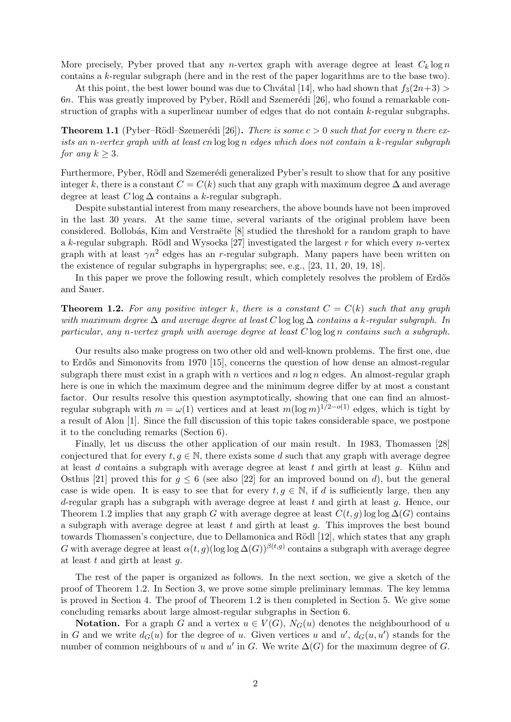More precisely, Pyber proved that any *n*-vertex graph with average degree at least  $C_k \log n$ contains a k-regular subgraph (here and in the rest of the paper logarithms are to the base two).

At this point, the best lower bound was due to Chvátal [\[14\]](#page-12-1), who had shown that  $f_3(2n+3)$  $6n$ . This was greatly improved by Pyber, Rödl and Szemerédi [\[26\]](#page-13-4), who found a remarkable construction of graphs with a superlinear number of edges that do not contain k-regular subgraphs.

<span id="page-1-1"></span>**Theorem 1.1** (Pyber–Rödl–Szemerédi [\[26\]](#page-13-4)). There is some  $c > 0$  such that for every n there exists an n-vertex graph with at least cn log log n edges which does not contain a k-regular subgraph for any  $k \geq 3$ .

Furthermore, Pyber, Rödl and Szemerédi generalized Pyber's result to show that for any positive integer k, there is a constant  $C = C(k)$  such that any graph with maximum degree  $\Delta$  and average degree at least  $C \log \Delta$  contains a k-regular subgraph.

Despite substantial interest from many researchers, the above bounds have not been improved in the last 30 years. At the same time, several variants of the original problem have been considered. Bollobás, Kim and Verstraëte [\[8\]](#page-12-8) studied the threshold for a random graph to have a k-regular subgraph. Rödl and Wysocka [\[27\]](#page-13-5) investigated the largest r for which every n-vertex graph with at least  $\gamma n^2$  edges has an r-regular subgraph. Many papers have been written on the existence of regular subgraphs in hypergraphs; see, e.g., [\[23,](#page-13-6) [11,](#page-12-9) [20,](#page-12-10) [19,](#page-12-11) [18\]](#page-12-12).

In this paper we prove the following result, which completely resolves the problem of Erdős and Sauer.

<span id="page-1-0"></span>**Theorem 1.2.** For any positive integer k, there is a constant  $C = C(k)$  such that any graph with maximum degree  $\Delta$  and average degree at least C log log  $\Delta$  contains a k-regular subgraph. In particular, any n-vertex graph with average degree at least  $C \log \log n$  contains such a subgraph.

Our results also make progress on two other old and well-known problems. The first one, due to Erdős and Simonovits from 1970 [\[15\]](#page-12-5), concerns the question of how dense an almost-regular subgraph there must exist in a graph with n vertices and  $n \log n$  edges. An almost-regular graph here is one in which the maximum degree and the minimum degree differ by at most a constant factor. Our results resolve this question asymptotically, showing that one can find an almostregular subgraph with  $m = \omega(1)$  vertices and at least  $m(\log m)^{1/2-o(1)}$  edges, which is tight by a result of Alon [\[1\]](#page-11-0). Since the full discussion of this topic takes considerable space, we postpone it to the concluding remarks (Section [6\)](#page-10-0).

Finally, let us discuss the other application of our main result. In 1983, Thomassen [\[28\]](#page-13-7) conjectured that for every  $t, q \in \mathbb{N}$ , there exists some d such that any graph with average degree at least  $d$  contains a subgraph with average degree at least  $t$  and girth at least  $g$ . Kühn and Osthus [\[21\]](#page-12-13) proved this for  $g \leq 6$  (see also [\[22\]](#page-13-8) for an improved bound on d), but the general case is wide open. It is easy to see that for every  $t, g \in \mathbb{N}$ , if d is sufficiently large, then any d-regular graph has a subgraph with average degree at least t and girth at least  $q$ . Hence, our Theorem [1.2](#page-1-0) implies that any graph G with average degree at least  $C(t, g)$  log log  $\Delta(G)$  contains a subgraph with average degree at least  $t$  and girth at least  $q$ . This improves the best bound towards Thomassen's conjecture, due to Dellamonica and Rödl [\[12\]](#page-12-14), which states that any graph G with average degree at least  $\alpha(t,g)$ (log log  $\Delta(G)$ )<sup> $\beta(t,g)$ </sup> contains a subgraph with average degree at least  $t$  and girth at least  $q$ .

The rest of the paper is organized as follows. In the next section, we give a sketch of the proof of Theorem [1.2.](#page-1-0) In Section [3,](#page-3-0) we prove some simple preliminary lemmas. The key lemma is proved in Section [4.](#page-5-0) The proof of Theorem [1.2](#page-1-0) is then completed in Section [5.](#page-8-0) We give some concluding remarks about large almost-regular subgraphs in Section [6.](#page-10-0)

**Notation.** For a graph G and a vertex  $u \in V(G)$ ,  $N_G(u)$  denotes the neighbourhood of u in G and we write  $d_G(u)$  for the degree of u. Given vertices u and u',  $d_G(u, u')$  stands for the number of common neighbours of u and u' in G. We write  $\Delta(G)$  for the maximum degree of G.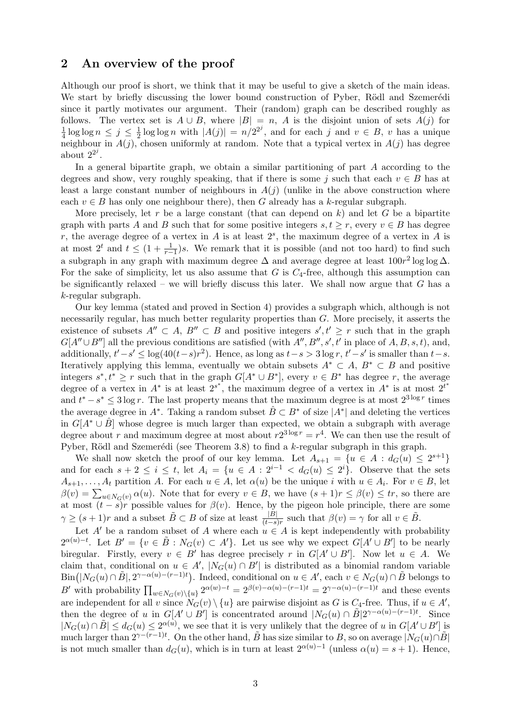### 2 An overview of the proof

Although our proof is short, we think that it may be useful to give a sketch of the main ideas. We start by briefly discussing the lower bound construction of Pyber, Rödl and Szemerédi since it partly motivates our argument. Their (random) graph can be described roughly as follows. The vertex set is  $A \cup B$ , where  $|B| = n$ , A is the disjoint union of sets  $A(j)$  for 1  $\frac{1}{4} \log \log n \leq j \leq \frac{1}{2}$  $\frac{1}{2} \log \log n$  with  $|A(j)| = n/2^{2^j}$ , and for each j and  $v \in B$ , v has a unique neighbour in  $A(j)$ , chosen uniformly at random. Note that a typical vertex in  $A(j)$  has degree about  $2^{2^j}$ .

In a general bipartite graph, we obtain a similar partitioning of part A according to the degrees and show, very roughly speaking, that if there is some j such that each  $v \in B$  has at least a large constant number of neighbours in  $A(j)$  (unlike in the above construction where each  $v \in B$  has only one neighbour there), then G already has a k-regular subgraph.

More precisely, let r be a large constant (that can depend on  $k$ ) and let G be a bipartite graph with parts A and B such that for some positive integers  $s, t \geq r$ , every  $v \in B$  has degree r, the average degree of a vertex in A is at least  $2<sup>s</sup>$ , the maximum degree of a vertex in A is at most  $2^t$  and  $t \leq (1 + \frac{1}{r-1})s$ . We remark that it is possible (and not too hard) to find such a subgraph in any graph with maximum degree  $\Delta$  and average degree at least  $100r^2 \log \log \Delta$ . For the sake of simplicity, let us also assume that  $G$  is  $C_4$ -free, although this assumption can be significantly relaxed – we will briefly discuss this later. We shall now argue that  $G$  has a k-regular subgraph.

Our key lemma (stated and proved in Section [4\)](#page-5-0) provides a subgraph which, although is not necessarily regular, has much better regularity properties than G. More precisely, it asserts the existence of subsets  $A'' \subset A$ ,  $B'' \subset B$  and positive integers  $s', t' \geq r$  such that in the graph  $G[A'' \cup B'']$  all the previous conditions are satisfied (with  $A'', B'', s', t'$  in place of  $A, B, s, t$ ), and, additionally,  $t'-s' \leq \log(40(t-s)r^2)$ . Hence, as long as  $t-s > 3 \log r$ ,  $t'-s'$  is smaller than  $t-s$ . Iteratively applying this lemma, eventually we obtain subsets  $A^* \subset A$ ,  $B^* \subset B$  and positive integers  $s^*, t^* \geq r$  such that in the graph  $G[A^* \cup B^*]$ , every  $v \in B^*$  has degree r, the average degree of a vertex in  $A^*$  is at least  $2^{s^*}$ , the maximum degree of a vertex in  $A^*$  is at most  $2^{t^*}$ and  $t^* - s^* \leq 3 \log r$ . The last property means that the maximum degree is at most  $2^{3 \log r}$  times the average degree in  $A^*$ . Taking a random subset  $\hat{B} \subset B^*$  of size  $|A^*|$  and deleting the vertices in  $G[A^* \cup \hat{B}]$  whose degree is much larger than expected, we obtain a subgraph with average degree about r and maximum degree at most about  $r2^{3\log r} = r^4$ . We can then use the result of Pyber, Rödl and Szemerédi (see Theorem [3.8\)](#page-5-1) to find a  $k$ -regular subgraph in this graph.

We shall now sketch the proof of our key lemma. Let  $A_{s+1} = \{u \in A : d_G(u) \leq 2^{s+1}\}\$ and for each  $s + 2 \leq i \leq t$ , let  $A_i = \{u \in A : 2^{i-1} < d_G(u) \leq 2^i\}$ . Observe that the sets  $A_{s+1}, \ldots, A_t$  partition A. For each  $u \in A$ , let  $\alpha(u)$  be the unique i with  $u \in A_i$ . For  $v \in B$ , let  $\beta(v) = \sum_{u \in N_G(v)} \alpha(u)$ . Note that for every  $v \in B$ , we have  $(s+1)r \leq \beta(v) \leq tr$ , so there are at most  $(t - s)r$  possible values for  $\beta(v)$ . Hence, by the pigeon hole principle, there are some  $\gamma \ge (s+1)r$  and a subset  $\tilde{B} \subset B$  of size at least  $\frac{|B|}{(t-s)r}$  such that  $\beta(v) = \gamma$  for all  $v \in \tilde{B}$ .

Let A' be a random subset of A where each  $u \in A$  is kept independently with probability  $2^{\alpha(u)-t}$ . Let  $B' = \{v \in \tilde{B} : N_G(v) \subset A'\}$ . Let us see why we expect  $G[A' \cup B']$  to be nearly biregular. Firstly, every  $v \in B'$  has degree precisely r in  $G[A' \cup B']$ . Now let  $u \in A$ . We claim that, conditional on  $u \in A'$ ,  $|N_G(u) \cap B'|$  is distributed as a binomial random variable  $\text{Bin}(|N_G(u) \cap \tilde{B}|, 2^{\gamma - \alpha(u) - (r-1)t})$ . Indeed, conditional on  $u \in A'$ , each  $v \in N_G(u) \cap \tilde{B}$  belongs to B' with probability  $\prod_{w \in N_G(v) \setminus \{u\}} 2^{\alpha(w)-t} = 2^{\beta(v)-\alpha(u)-(r-1)t} = 2^{\gamma-\alpha(u)-(r-1)t}$  and these events are independent for all v since  $N_G(v) \setminus \{u\}$  are pairwise disjoint as G is C<sub>4</sub>-free. Thus, if  $u \in A'$ , then the degree of u in  $G[A' \cup B']$  is concentrated around  $|N_G(u) \cap \tilde{B}|2^{\gamma-\alpha(u)-(r-1)t}$ . Since  $|N_G(u) \cap \tilde{B}| \leq d_G(u) \leq 2^{\alpha(u)}$ , we see that it is very unlikely that the degree of u in  $G[A' \cup B']$  is much larger than  $2^{\gamma-(r-1)t}$ . On the other hand,  $\tilde{B}$  has size similar to B, so on average  $|N_G(u) \cap \tilde{B}|$ is not much smaller than  $d_G(u)$ , which is in turn at least  $2^{\alpha(u)-1}$  (unless  $\alpha(u) = s + 1$ ). Hence,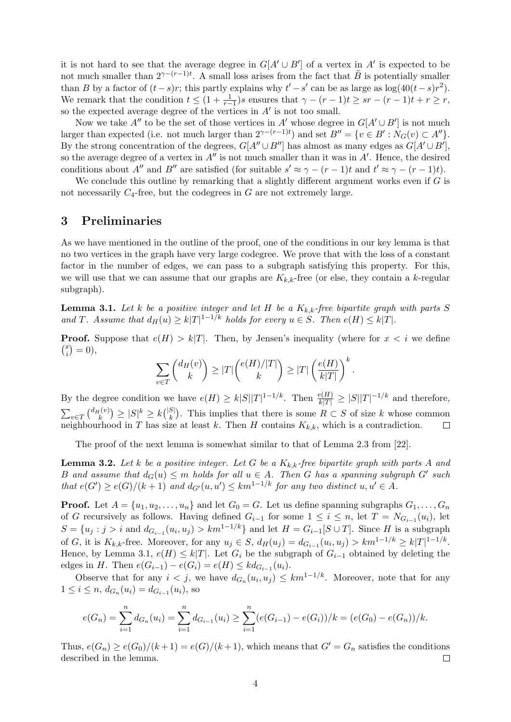it is not hard to see that the average degree in  $G[A' \cup B']$  of a vertex in  $A'$  is expected to be not much smaller than  $2^{\gamma-(r-1)t}$ . A small loss arises from the fact that  $\tilde{B}$  is potentially smaller than B by a factor of  $(t-s)r$ ; this partly explains why  $t'-s'$  can be as large as  $\log(40(t-s)r^2)$ . We remark that the condition  $t \leq (1 + \frac{1}{r-1})s$  ensures that  $\gamma - (r-1)t \geq sr - (r-1)t + r \geq r$ , so the expected average degree of the vertices in  $A'$  is not too small.

Now we take  $A''$  to be the set of those vertices in  $A'$  whose degree in  $G[A' \cup B']$  is not much larger than expected (i.e. not much larger than  $2^{\gamma-(r-1)t}$ ) and set  $B'' = \{v \in B' : N_G(v) \subset A''\}.$ By the strong concentration of the degrees,  $G[A'' \cup B'']$  has almost as many edges as  $G[A' \cup B']$ , so the average degree of a vertex in  $A''$  is not much smaller than it was in  $A'$ . Hence, the desired conditions about A'' and B'' are satisfied (for suitable  $s' \approx \gamma - (r-1)t$  and  $t' \approx \gamma - (r-1)t$ ).

We conclude this outline by remarking that a slightly different argument works even if  $G$  is not necessarily  $C_4$ -free, but the codegrees in G are not extremely large.

### <span id="page-3-0"></span>3 Preliminaries

As we have mentioned in the outline of the proof, one of the conditions in our key lemma is that no two vertices in the graph have very large codegree. We prove that with the loss of a constant factor in the number of edges, we can pass to a subgraph satisfying this property. For this, we will use that we can assume that our graphs are  $K_{k,k}$ -free (or else, they contain a k-regular subgraph).

<span id="page-3-1"></span>**Lemma 3.1.** Let k be a positive integer and let H be a  $K_{k,k}$ -free bipartite graph with parts S and T. Assume that  $d_H(u) \geq k|T|^{1-1/k}$  holds for every  $u \in S$ . Then  $e(H) \leq k|T|$ .

**Proof.** Suppose that  $e(H) > k|T|$ . Then, by Jensen's inequality (where for  $x < i$  we define  $\binom{x}{i}$  $\binom{x}{i} = 0,$ 

$$
\sum_{v \in T} \binom{d_H(v)}{k} \ge |T| \binom{e(H)/|T|}{k} \ge |T| \left(\frac{e(H)}{k|T|}\right)^k.
$$

By the degree condition we have  $e(H) \geq k|S||T|^{1-1/k}$ . Then  $\frac{e(H)}{k|T|} \geq |S||T|^{-1/k}$  and therefore,  $\sum_{v \in T} {d_H(v) \choose k} \ge |S|^k \ge k {|S| \choose k}$  $\binom{S}{k}$ . This implies that there is some  $R \subset S$  of size k whose common neighbourhood in T has size at least k. Then H contains  $K_{k,k}$ , which is a contradiction.  $\Box$ 

The proof of the next lemma is somewhat similar to that of Lemma 2.3 from [\[22\]](#page-13-8).

<span id="page-3-2"></span>**Lemma 3.2.** Let k be a positive integer. Let G be a  $K_{k,k}$ -free bipartite graph with parts A and B and assume that  $d_G(u) \leq m$  holds for all  $u \in A$ . Then G has a spanning subgraph G' such that  $e(G') \geq e(G)/(k+1)$  and  $d_{G'}(u, u') \leq km^{1-1/k}$  for any two distinct  $u, u' \in A$ .

**Proof.** Let  $A = \{u_1, u_2, \ldots, u_n\}$  and let  $G_0 = G$ . Let us define spanning subgraphs  $G_1, \ldots, G_n$ of G recursively as follows. Having defined  $G_{i-1}$  for some  $1 \leq i \leq n$ , let  $T = N_{G_{i-1}}(u_i)$ , let  $S = \{u_j : j > i \text{ and } d_{G_{i-1}}(u_i, u_j) > km^{1-1/k}\}\$ and let  $H = G_{i-1}[S \cup T]$ . Since H is a subgraph of G, it is  $K_{k,k}$ -free. Moreover, for any  $u_j \in S$ ,  $d_H(u_j) = d_{G_{i-1}}(u_i, u_j) > km^{1-1/k} \geq k|T|^{1-1/k}$ . Hence, by Lemma [3.1,](#page-3-1)  $e(H) \leq k|T|$ . Let  $G_i$  be the subgraph of  $G_{i-1}$  obtained by deleting the edges in *H*. Then  $e(G_{i-1}) - e(G_i) = e(H) \leq k d_{G_{i-1}}(u_i)$ .

Observe that for any  $i < j$ , we have  $d_{G_n}(u_i, u_j) \leq k m^{1-1/k}$ . Moreover, note that for any  $1 \leq i \leq n$ ,  $d_{G_n}(u_i) = d_{G_{i-1}}(u_i)$ , so

$$
e(G_n) = \sum_{i=1}^n d_{G_n}(u_i) = \sum_{i=1}^n d_{G_{i-1}}(u_i) \ge \sum_{i=1}^n (e(G_{i-1}) - e(G_i))/k = (e(G_0) - e(G_n))/k.
$$

Thus,  $e(G_n) \geq e(G_0)/(k+1) = e(G)/(k+1)$ , which means that  $G' = G_n$  satisfies the conditions described in the lemma.  $\Box$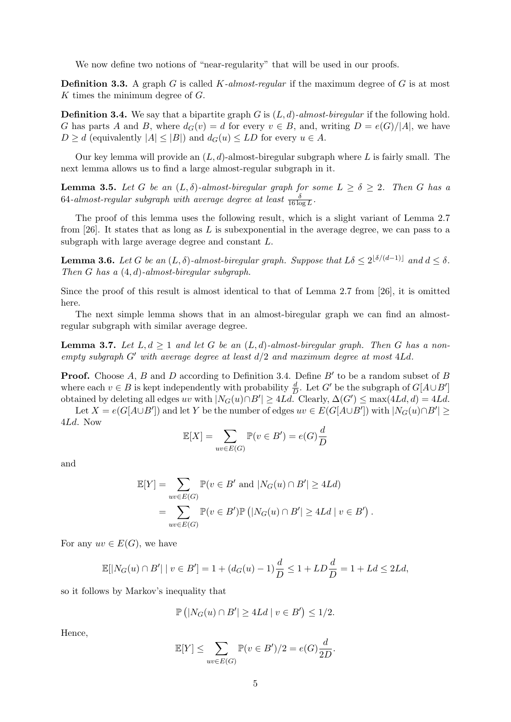We now define two notions of "near-regularity" that will be used in our proofs.

**Definition 3.3.** A graph G is called K-almost-regular if the maximum degree of G is at most K times the minimum degree of G.

<span id="page-4-0"></span>**Definition 3.4.** We say that a bipartite graph G is  $(L, d)$ -almost-biregular if the following hold. G has parts A and B, where  $d_G(v) = d$  for every  $v \in B$ , and, writing  $D = e(G)/|A|$ , we have  $D \geq d$  (equivalently  $|A| \leq |B|$ ) and  $d_G(u) \leq LD$  for every  $u \in A$ .

Our key lemma will provide an  $(L, d)$ -almost-biregular subgraph where L is fairly small. The next lemma allows us to find a large almost-regular subgraph in it.

<span id="page-4-1"></span>**Lemma 3.5.** Let G be an  $(L, \delta)$ -almost-biregular graph for some  $L \geq \delta \geq 2$ . Then G has a  $64\text{-}almost-regular subgraph with average degree at least  $\frac{\delta}{16\log L}$ .$ 

The proof of this lemma uses the following result, which is a slight variant of Lemma 2.7 from [\[26\]](#page-13-4). It states that as long as  $L$  is subexponential in the average degree, we can pass to a subgraph with large average degree and constant L.

<span id="page-4-2"></span>**Lemma 3.6.** Let G be an  $(L, \delta)$ -almost-biregular graph. Suppose that  $L\delta \leq 2^{\lfloor \delta/(d-1) \rfloor}$  and  $d \leq \delta$ . Then G has a  $(4, d)$ -almost-biregular subgraph.

Since the proof of this result is almost identical to that of Lemma 2.7 from [\[26\]](#page-13-4), it is omitted here.

The next simple lemma shows that in an almost-biregular graph we can find an almostregular subgraph with similar average degree.

<span id="page-4-3"></span>**Lemma 3.7.** Let  $L, d \geq 1$  and let G be an  $(L, d)$ -almost-biregular graph. Then G has a nonempty subgraph  $G'$  with average degree at least  $d/2$  and maximum degree at most  $4Ld$ .

**Proof.** Choose  $A$ ,  $B$  and  $D$  according to Definition [3.4.](#page-4-0) Define  $B'$  to be a random subset of  $B$ where each  $v \in B$  is kept independently with probability  $\frac{d}{D}$ . Let G' be the subgraph of  $G[A \cup B']$ obtained by deleting all edges uv with  $|N_G(u) \cap B'| \geq 4Ld$ . Clearly,  $\Delta(G') \leq \max(4Ld, d) = 4Ld$ .

Let  $X = e(G[A \cup B'])$  and let Y be the number of edges  $uv \in E(G[A \cup B'])$  with  $|N_G(u) \cap B'| \ge$ 4Ld. Now

$$
\mathbb{E}[X] = \sum_{uv \in E(G)} \mathbb{P}(v \in B') = e(G)\frac{d}{D}
$$

and

$$
\mathbb{E}[Y] = \sum_{uv \in E(G)} \mathbb{P}(v \in B' \text{ and } |N_G(u) \cap B'| \ge 4Ld)
$$
  
= 
$$
\sum_{uv \in E(G)} \mathbb{P}(v \in B') \mathbb{P}(|N_G(u) \cap B'| \ge 4Ld \mid v \in B').
$$

For any  $uv \in E(G)$ , we have

$$
\mathbb{E}[|N_G(u) \cap B'| \mid v \in B'] = 1 + (d_G(u) - 1)\frac{d}{D} \le 1 + LD\frac{d}{D} = 1 + Ld \le 2Ld,
$$

so it follows by Markov's inequality that

$$
\mathbb{P}\left(|N_G(u)\cap B'|\ge 4Ld\mid v\in B'\right)\le 1/2.
$$

Hence,

$$
\mathbb{E}[Y] \le \sum_{uv \in E(G)} \mathbb{P}(v \in B')/2 = e(G)\frac{d}{2D}.
$$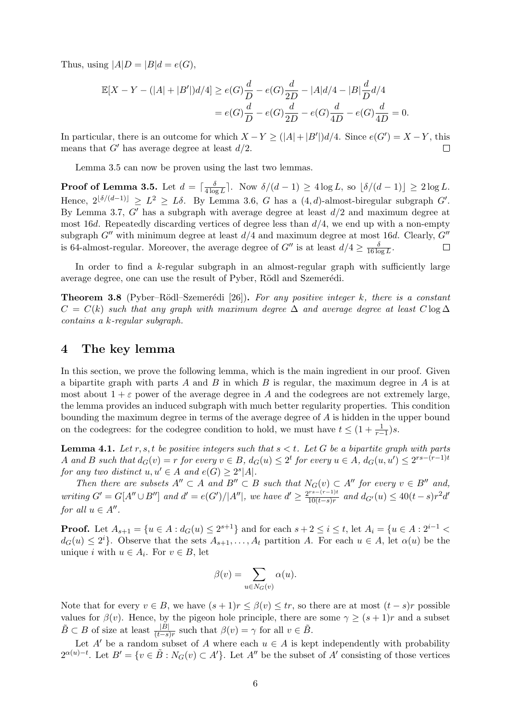Thus, using  $|A|D = |B|d = e(G)$ ,

$$
\mathbb{E}[X - Y - (|A| + |B'|)d/4] \ge e(G)\frac{d}{D} - e(G)\frac{d}{2D} - |A|d/4 - |B|\frac{d}{D}d/4
$$
  
=  $e(G)\frac{d}{D} - e(G)\frac{d}{2D} - e(G)\frac{d}{4D} - e(G)\frac{d}{4D} = 0.$ 

In particular, there is an outcome for which  $X - Y \geq (|A| + |B'|)d/4$ . Since  $e(G') = X - Y$ , this means that  $G'$  has average degree at least  $d/2$ .  $\Box$ 

Lemma [3.5](#page-4-1) can now be proven using the last two lemmas.

**Proof of Lemma [3.5.](#page-4-1)** Let  $d = \lceil \frac{\delta}{4 \log n} \rceil$  $\frac{\delta}{4 \log L}$ . Now  $\delta/(d-1) \geq 4 \log L$ , so  $\lfloor \delta/(d-1) \rfloor \geq 2 \log L$ . Hence,  $2^{\lfloor \delta/(d-1)\rfloor} \geq L^2 \geq L\delta$ . By Lemma [3.6,](#page-4-2) G has a  $(4,d)$ -almost-biregular subgraph G'. By Lemma [3.7,](#page-4-3)  $G'$  has a subgraph with average degree at least  $d/2$  and maximum degree at most 16d. Repeatedly discarding vertices of degree less than  $d/4$ , we end up with a non-empty subgraph  $G''$  with minimum degree at least  $d/4$  and maximum degree at most 16d. Clearly,  $G''$ is 64-almost-regular. Moreover, the average degree of  $G''$  is at least  $d/4 \geq \frac{\delta}{16 \log n}$  $\frac{\delta}{16 \log L}$ .  $\Box$ 

In order to find a  $k$ -regular subgraph in an almost-regular graph with sufficiently large average degree, one can use the result of Pyber, Rödl and Szemerédi.

<span id="page-5-1"></span>**Theorem 3.8** (Pyber–Rödl–Szemerédi [\[26\]](#page-13-4)). For any positive integer k, there is a constant  $C = C(k)$  such that any graph with maximum degree  $\Delta$  and average degree at least  $C \log \Delta$ contains a k-regular subgraph.

#### <span id="page-5-0"></span>4 The key lemma

In this section, we prove the following lemma, which is the main ingredient in our proof. Given a bipartite graph with parts A and B in which B is regular, the maximum degree in A is at most about  $1 + \varepsilon$  power of the average degree in A and the codegrees are not extremely large, the lemma provides an induced subgraph with much better regularity properties. This condition bounding the maximum degree in terms of the average degree of A is hidden in the upper bound on the codegrees: for the codegree condition to hold, we must have  $t \leq (1 + \frac{1}{r-1})s$ .

<span id="page-5-2"></span>**Lemma 4.1.** Let r, s, t be positive integers such that  $s < t$ . Let G be a bipartite graph with parts A and B such that  $d_G(v) = r$  for every  $v \in B$ ,  $d_G(u) \leq 2^t$  for every  $u \in A$ ,  $d_G(u, u') \leq 2^{rs-(r-1)t}$ for any two distinct  $u, u' \in A$  and  $e(G) \geq 2^s |A|$ .

Then there are subsets  $A'' \subset A$  and  $B'' \subset B$  such that  $N_G(v) \subset A''$  for every  $v \in B''$  and, writing  $G' = G[A'' \cup B'']$  and  $d' = e(G')/|A''|$ , we have  $d' \geq \frac{2^{rs-(r-1)t}}{10(t-s)r}$  $\frac{r^{rs-(r-1)t}}{10(t-s)r}$  and  $d_{G'}(u) \leq 40(t-s)r^2d'$ for all  $u \in A''$ .

**Proof.** Let  $A_{s+1} = \{u \in A : d_G(u) \leq 2^{s+1}\}\$ and for each  $s+2 \leq i \leq t$ , let  $A_i = \{u \in A : 2^{i-1} <$  $d_G(u) \leq 2^i$ . Observe that the sets  $A_{s+1}, \ldots, A_t$  partition A. For each  $u \in A$ , let  $\alpha(u)$  be the unique *i* with  $u \in A_i$ . For  $v \in B$ , let

$$
\beta(v) = \sum_{u \in N_G(v)} \alpha(u).
$$

Note that for every  $v \in B$ , we have  $(s + 1)r \leq \beta(v) \leq tr$ , so there are at most  $(t - s)r$  possible values for  $\beta(v)$ . Hence, by the pigeon hole principle, there are some  $\gamma \ge (s+1)r$  and a subset  $\tilde{B} \subset B$  of size at least  $\frac{|B|}{(t-s)r}$  such that  $\beta(v) = \gamma$  for all  $v \in \tilde{B}$ .

Let A' be a random subset of A where each  $u \in A$  is kept independently with probability  $2^{\alpha(u)-t}$ . Let  $B' = \{v \in \tilde{B} : N_G(v) \subset A'\}$ . Let  $A''$  be the subset of  $A'$  consisting of those vertices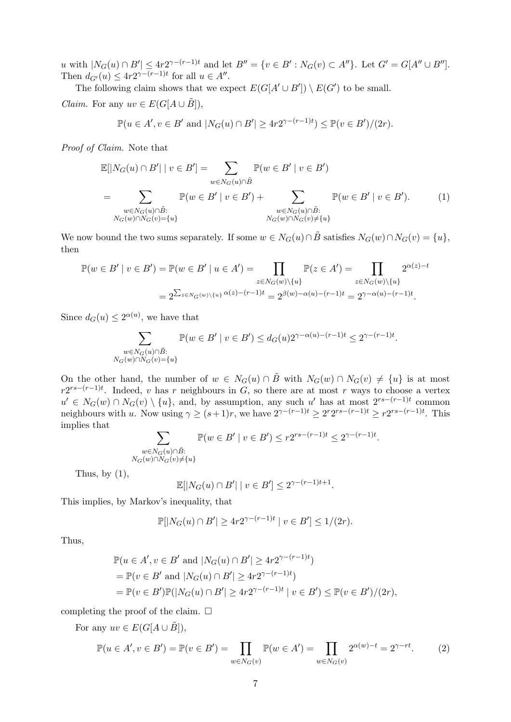u with  $|N_G(u) \cap B'| \leq 4r2^{\gamma-(r-1)t}$  and let  $B'' = \{v \in B' : N_G(v) \subset A''\}$ . Let  $G' = G[A'' \cup B'']$ . Then  $d_{G'}(u) \leq 4r2^{\gamma-(r-1)t}$  for all  $u \in A''$ .

The following claim shows that we expect  $E(G[A' \cup B']) \setminus E(G')$  to be small. *Claim.* For any  $uv \in E(G[A \cup \tilde{B}]),$ 

<span id="page-6-0"></span>
$$
\mathbb{P}(u \in A', v \in B' \text{ and } |N_G(u) \cap B'| \ge 4r2^{\gamma-(r-1)t}) \le \mathbb{P}(v \in B')/(2r).
$$

Proof of Claim. Note that

$$
\mathbb{E}[|N_G(u) \cap B'| \mid v \in B'] = \sum_{w \in N_G(u) \cap \tilde{B}} \mathbb{P}(w \in B' \mid v \in B')
$$
  
= 
$$
\sum_{\substack{w \in N_G(u) \cap \tilde{B}: \\ N_G(w) \cap N_G(v) = \{u\}}} \mathbb{P}(w \in B' \mid v \in B') + \sum_{\substack{w \in N_G(u) \cap \tilde{B}: \\ N_G(w) \cap N_G(v) \neq \{u\}}} \mathbb{P}(w \in B' \mid v \in B').
$$
 (1)

We now bound the two sums separately. If some  $w \in N_G(u) \cap \tilde{B}$  satisfies  $N_G(w) \cap N_G(v) = \{u\},\$ then

$$
\mathbb{P}(w \in B' \mid v \in B') = \mathbb{P}(w \in B' \mid u \in A') = \prod_{z \in N_G(w) \setminus \{u\}} \mathbb{P}(z \in A') = \prod_{z \in N_G(w) \setminus \{u\}} 2^{\alpha(z) - t}
$$

$$
= 2^{\sum_{z \in N_G(w) \setminus \{u\}} \alpha(z) - (r - 1)t} = 2^{\beta(w) - \alpha(u) - (r - 1)t} = 2^{\gamma - \alpha(u) - (r - 1)t}.
$$

Since  $d_G(u) \leq 2^{\alpha(u)}$ , we have that

$$
\sum_{\substack{w \in N_G(u) \cap \tilde{B}: \\ N_G(w) \cap N_G(v) = \{u\}}} \mathbb{P}(w \in B' \mid v \in B') \le d_G(u) 2^{\gamma - \alpha(u) - (r-1)t} \le 2^{\gamma - (r-1)t}.
$$

On the other hand, the number of  $w \in N_G(u) \cap \tilde{B}$  with  $N_G(w) \cap N_G(v) \neq \{u\}$  is at most  $r2^{rs-(r-1)t}$ . Indeed, v has r neighbours in G, so there are at most r ways to choose a vertex  $u' \in N_G(w) \cap N_G(v) \setminus \{u\}$ , and, by assumption, any such u' has at most  $2^{rs-(r-1)t}$  common neighbours with u. Now using  $\gamma \ge (s+1)r$ , we have  $2^{\gamma-(r-1)t} \ge 2^r 2^{rs-(r-1)t} \ge r 2^{rs-(r-1)t}$ . This implies that

$$
\sum_{\substack{w \in N_G(u) \cap \tilde{B}: \\ N_G(w) \cap N_G(v) \neq \{u\}}} \mathbb{P}(w \in B' \mid v \in B') \le r2^{rs - (r-1)t} \le 2^{\gamma - (r-1)t}.
$$

Thus, by  $(1)$ ,

$$
\mathbb{E}[|N_G(u) \cap B'| \mid v \in B'] \le 2^{\gamma - (r-1)t + 1}.
$$

This implies, by Markov's inequality, that

$$
\mathbb{P}[|N_G(u) \cap B'| \ge 4r2^{\gamma - (r-1)t} | v \in B'] \le 1/(2r).
$$

Thus,

$$
\mathbb{P}(u \in A', v \in B' \text{ and } |N_G(u) \cap B'| \ge 4r2^{\gamma - (r-1)t})
$$
  
=  $\mathbb{P}(v \in B' \text{ and } |N_G(u) \cap B'| \ge 4r2^{\gamma - (r-1)t})$   
=  $\mathbb{P}(v \in B')\mathbb{P}(|N_G(u) \cap B'| \ge 4r2^{\gamma - (r-1)t} | v \in B') \le \mathbb{P}(v \in B')/(2r),$ 

completing the proof of the claim.  $\square$ 

For any  $uv \in E(G[A \cup \tilde{B}]),$ 

<span id="page-6-1"></span>
$$
\mathbb{P}(u \in A', v \in B') = \mathbb{P}(v \in B') = \prod_{w \in N_G(v)} \mathbb{P}(w \in A') = \prod_{w \in N_G(v)} 2^{\alpha(w) - t} = 2^{\gamma - rt}.
$$
 (2)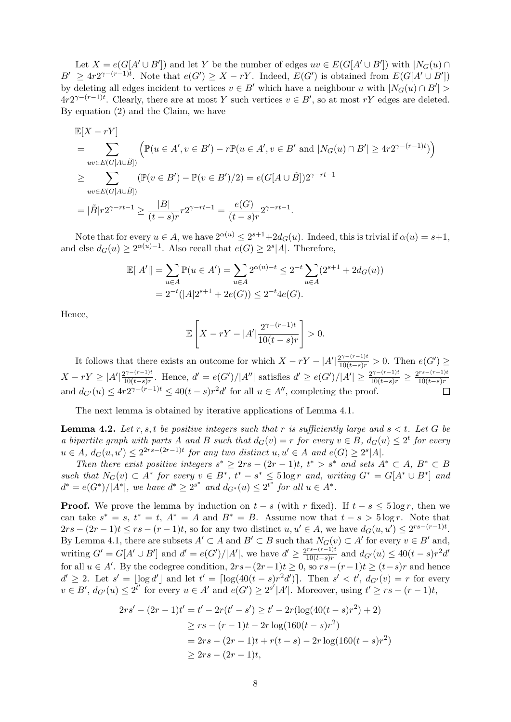Let  $X = e(G[A' \cup B'])$  and let Y be the number of edges  $uv \in E(G[A' \cup B'])$  with  $|N_G(u) \cap B'|$  $|B'| \geq 4r2^{\gamma-(r-1)t}$ . Note that  $e(G') \geq X - rY$ . Indeed,  $E(G')$  is obtained from  $E(G[A' \cup B'])$ by deleting all edges incident to vertices  $v \in B'$  which have a neighbour u with  $|N_G(u) \cap B'|$  $4r2^{\gamma-(r-1)t}$ . Clearly, there are at most Y such vertices  $v \in B'$ , so at most rY edges are deleted. By equation [\(2\)](#page-6-1) and the Claim, we have

$$
\mathbb{E}[X - rY]
$$
\n
$$
= \sum_{uv \in E(G[A \cup \tilde{B}])} \left( \mathbb{P}(u \in A', v \in B') - r\mathbb{P}(u \in A', v \in B' \text{ and } |N_G(u) \cap B'| \ge 4r2^{\gamma - (r-1)t}) \right)
$$
\n
$$
\ge \sum_{uv \in E(G[A \cup \tilde{B}])} (\mathbb{P}(v \in B') - \mathbb{P}(v \in B')/2) = e(G[A \cup \tilde{B}])2^{\gamma - rt - 1}
$$
\n
$$
= |\tilde{B}|r2^{\gamma - rt - 1} \ge \frac{|B|}{(t - s)r}r2^{\gamma - rt - 1} = \frac{e(G)}{(t - s)r}2^{\gamma - rt - 1}.
$$

Note that for every  $u \in A$ , we have  $2^{\alpha(u)} \leq 2^{s+1} + 2d_G(u)$ . Indeed, this is trivial if  $\alpha(u) = s+1$ , and else  $d_G(u) \geq 2^{\alpha(u)-1}$ . Also recall that  $e(G) \geq 2^s |A|$ . Therefore,

$$
\mathbb{E}[|A'|] = \sum_{u \in A} \mathbb{P}(u \in A') = \sum_{u \in A} 2^{\alpha(u)-t} \le 2^{-t} \sum_{u \in A} (2^{s+1} + 2d_G(u))
$$
  
=  $2^{-t}(|A|2^{s+1} + 2e(G)) \le 2^{-t}4e(G).$ 

Hence,

$$
\mathbb{E}\left[X - rY - |A'|\frac{2^{\gamma - (r-1)t}}{10(t-s)r}\right] > 0.
$$

It follows that there exists an outcome for which  $X - rY - |A'| \frac{2^{\gamma - (r-1)t}}{10(t-s)r} > 0$ . Then  $e(G') \ge$  $X - rY \geq |A'| \frac{2^{\gamma - (r-1)t}}{10(t-s)x}$  $\frac{2^{\gamma - (r-1)t}}{10(t-s)r}$ . Hence,  $d' = e(G')/|A''|$  satisfies  $d' \ge e(G')/|A'| \ge \frac{2^{\gamma - (r-1)t}}{10(t-s)r} \ge \frac{2^{rs - (r-1)t}}{10(t-s)r}$  $10(t-s)r$ and  $d_{G'}(u) \leq 4r2^{\gamma-(r-1)t} \leq 40(t-s)r^2d'$  for all  $u \in A''$ , completing the proof.

The next lemma is obtained by iterative applications of Lemma [4.1.](#page-5-2)

<span id="page-7-0"></span>**Lemma 4.2.** Let r, s, t be positive integers such that r is sufficiently large and  $s < t$ . Let G be a bipartite graph with parts A and B such that  $d_G(v) = r$  for every  $v \in B$ ,  $d_G(u) \leq 2^t$  for every  $u \in A$ ,  $d_G(u, u') \leq 2^{2rs-(2r-1)t}$  for any two distinct  $u, u' \in A$  and  $e(G) \geq 2^s |A|$ .

Then there exist positive integers  $s^* \geq 2rs - (2r - 1)t$ ,  $t^* > s^*$  and sets  $A^* \subset A$ ,  $B^* \subset B$ such that  $N_G(v) \subset A^*$  for every  $v \in B^*$ ,  $t^* - s^* \leq 5 \log r$  and, writing  $G^* = G[A^* \cup B^*]$  and  $d^* = e(G^*)/|A^*|$ , we have  $d^* \geq 2^{s^*}$  and  $d_{G^*}(u) \leq 2^{t^*}$  for all  $u \in A^*$ .

**Proof.** We prove the lemma by induction on  $t - s$  (with r fixed). If  $t - s \leq 5 \log r$ , then we can take  $s^* = s$ ,  $t^* = t$ ,  $A^* = A$  and  $B^* = B$ . Assume now that  $t - s > 5 \log r$ . Note that  $2rs - (2r - 1)t \le rs - (r - 1)t$ , so for any two distinct  $u, u' \in A$ , we have  $d_G(u, u') \le 2rs - (r - 1)t$ . By Lemma [4.1,](#page-5-2) there are subsets  $A' \subset A$  and  $B' \subset B$  such that  $N_G(v) \subset A'$  for every  $v \in B'$  and, writing  $G' = G[A' \cup B']$  and  $d' = e(G')/|A'|$ , we have  $d' \geq \frac{2^{rs-(r-1)t}}{10(t-s)r}$  $\frac{d^{rs-(r-1)t}}{10(t-s)r}$  and  $d_{G'}(u) \leq 40(t-s)r^2d'$ for all  $u \in A'$ . By the codegree condition,  $2rs-(2r-1)t \geq 0$ , so  $rs-(r-1)t \geq (t-s)r$  and hence  $d' \geq 2$ . Let  $s' = \lfloor \log d' \rfloor$  and let  $t' = \lceil \log(40(t-s)r^2d') \rceil$ . Then  $s' < t'$ ,  $d_{G'}(v) = r$  for every  $v \in B'$ ,  $d_{G'}(u) \leq 2^{t'}$  for every  $u \in A'$  and  $e(G') \geq 2^{s'}|A'|$ . Moreover, using  $t' \geq rs - (r-1)t$ ,

$$
2rs' - (2r - 1)t' = t' - 2r(t' - s') \ge t' - 2r(\log(40(t - s)r^{2}) + 2)
$$
  
\n
$$
\ge rs - (r - 1)t - 2r\log(160(t - s)r^{2})
$$
  
\n
$$
= 2rs - (2r - 1)t + r(t - s) - 2r\log(160(t - s)r^{2})
$$
  
\n
$$
\ge 2rs - (2r - 1)t,
$$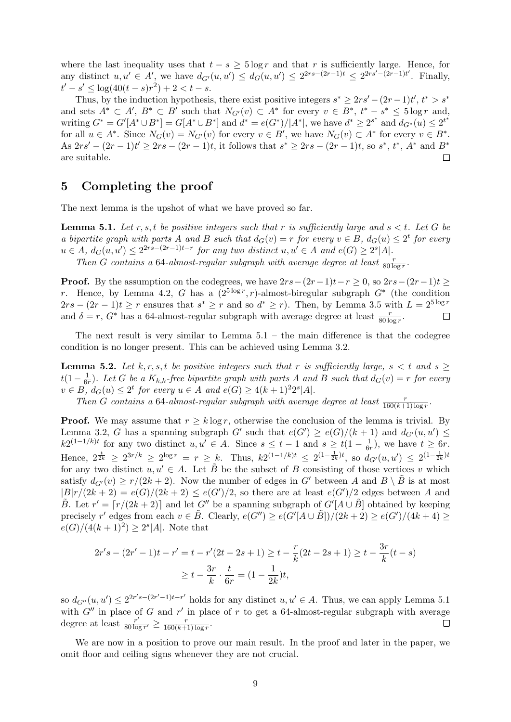where the last inequality uses that  $t - s > 5 \log r$  and that r is sufficiently large. Hence, for any distinct  $u, u' \in A'$ , we have  $d_{G'}(u, u') \leq d_G(u, u') \leq 2^{2rs-(2r-1)t} \leq 2^{2rs'-(2r-1)t'}$ . Finally,  $t'-s' \leq \log(40(t-s)r^2) + 2 < t-s.$ 

Thus, by the induction hypothesis, there exist positive integers  $s^* \geq 2rs' - (2r - 1)t'$ ,  $t^* > s^*$ and sets  $A^* \subset A'$ ,  $B^* \subset B'$  such that  $N_{G'}(v) \subset A^*$  for every  $v \in B^*$ ,  $t^* - s^* \leq 5 \log r$  and, writing  $G^* = G'[A^* \cup B^*] = G[A^* \cup B^*]$  and  $d^* = e(G^*)/|A^*|$ , we have  $d^* \geq 2^{s^*}$  and  $d_{G^*}(u) \leq 2^{t^*}$ for all  $u \in A^*$ . Since  $N_G(v) = N_{G'}(v)$  for every  $v \in B'$ , we have  $N_G(v) \subset A^*$  for every  $v \in B^*$ . As  $2rs' - (2r - 1)t' \ge 2rs - (2r - 1)t$ , it follows that  $s^* \ge 2rs - (2r - 1)t$ , so  $s^*$ ,  $t^*$ ,  $A^*$  and  $B^*$ are suitable.  $\Box$ 

# <span id="page-8-0"></span>5 Completing the proof

The next lemma is the upshot of what we have proved so far.

<span id="page-8-1"></span>**Lemma 5.1.** Let r, s, t be positive integers such that r is sufficiently large and  $s < t$ . Let G be a bipartite graph with parts A and B such that  $d_G(v) = r$  for every  $v \in B$ ,  $d_G(u) \leq 2^t$  for every  $u \in A$ ,  $d_G(u, u') \leq 2^{2rs-(2r-1)t-r}$  for any two distinct  $u, u' \in A$  and  $e(G) \geq 2^s|A|$ .

Then G contains a 64-almost-regular subgraph with average degree at least  $\frac{r}{80 \log r}$ .

**Proof.** By the assumption on the codegrees, we have  $2rs-(2r-1)t-r \geq 0$ , so  $2rs-(2r-1)t \geq$ r. Hence, by Lemma [4.2,](#page-7-0) G has a  $(2^{5 \log r}, r)$ -almost-biregular subgraph  $G^*$  (the condition  $2rs - (2r - 1)t \geq r$  ensures that  $s^* \geq r$  and so  $d^* \geq r$ ). Then, by Lemma [3.5](#page-4-1) with  $L = 2^{5 \log r}$ and  $\delta = r$ ,  $G^*$  has a 64-almost-regular subgraph with average degree at least  $\frac{r}{80 \log r}$ .  $\Box$ 

The next result is very similar to Lemma  $5.1$  – the main difference is that the codegree condition is no longer present. This can be achieved using Lemma [3.2.](#page-3-2)

<span id="page-8-2"></span>**Lemma 5.2.** Let k, r, s, t be positive integers such that r is sufficiently large,  $s < t$  and  $s \geq$  $t(1-\frac{1}{64})$  $\frac{1}{6r}$ ). Let G be a  $K_{k,k}$ -free bipartite graph with parts A and B such that  $d_G(v) = r$  for every  $v \in B$ ,  $d_G(u) \leq 2^t$  for every  $u \in A$  and  $e(G) \geq 4(k+1)^2 2^s |A|$ .

Then G contains a 64-almost-regular subgraph with average degree at least  $\frac{r}{160(k+1)\log r}$ .

**Proof.** We may assume that  $r \geq k \log r$ , otherwise the conclusion of the lemma is trivial. By Lemma [3.2,](#page-3-2) G has a spanning subgraph G' such that  $e(G') \ge e(G)/(k+1)$  and  $d_{G'}(u, u') \le$  $k2^{(1-1/k)t}$  for any two distinct  $u, u' \in A$ . Since  $s \leq t-1$  and  $s \geq t(1-\frac{1}{6t})$  $\frac{1}{6r}$ , we have  $t \geq 6r$ . Hence,  $2^{\frac{t}{2k}} \geq 2^{3r/k} \geq 2^{\log r} = r \geq k$ . Thus,  $k2^{(1-1/k)t} \leq 2^{(1-\frac{1}{2k})t}$ , so  $d_{G'}(u, u') \leq 2^{(1-\frac{1}{2k})t}$ for any two distinct  $u, u' \in A$ . Let  $\tilde{B}$  be the subset of B consisting of those vertices v which satisfy  $d_{G'}(v) \ge r/(2k+2)$ . Now the number of edges in G' between A and  $B \setminus \overline{B}$  is at most  $|B|r/(2k+2) = e(G)/(2k+2) \le e(G')/2$ , so there are at least  $e(G')/2$  edges between A and  $\tilde{B}$ . Let  $r' = \lceil r/(2k+2) \rceil$  and let  $G''$  be a spanning subgraph of  $G'[A \cup \tilde{B}]$  obtained by keeping precisely r' edges from each  $v \in \tilde{B}$ . Clearly,  $e(G'') \geq e(G'[A \cup \tilde{B}])/(2k+2) \geq e(G')/(4k+4) \geq$  $e(G)/(4(k+1)^2) \geq 2^s |A|$ . Note that

$$
2r's - (2r' - 1)t - r' = t - r'(2t - 2s + 1) \ge t - \frac{r}{k}(2t - 2s + 1) \ge t - \frac{3r}{k}(t - s)
$$

$$
\ge t - \frac{3r}{k} \cdot \frac{t}{6r} = (1 - \frac{1}{2k})t,
$$

so  $d_{G''}(u, u') \leq 2^{2r's-(2r'-1)t-r'}$  holds for any distinct  $u, u' \in A$ . Thus, we can apply Lemma [5.1](#page-8-1) with  $G''$  in place of G and r' in place of r to get a 64-almost-regular subgraph with average degree at least  $\frac{r'}{80 \log r}$  $\frac{r'}{80\log r'} \ge \frac{r}{160(k+1)}$  $\frac{r}{160(k+1)\log r}$ .  $\Box$ 

We are now in a position to prove our main result. In the proof and later in the paper, we omit floor and ceiling signs whenever they are not crucial.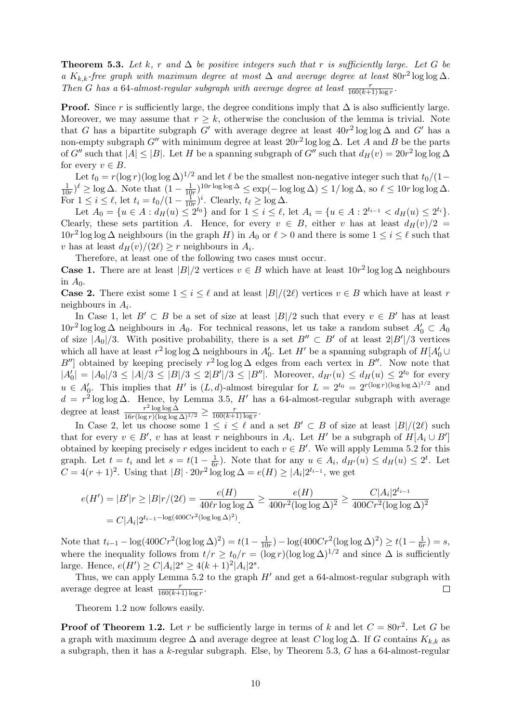<span id="page-9-0"></span>**Theorem 5.3.** Let k, r and  $\Delta$  be positive integers such that r is sufficiently large. Let G be a K<sub>k,k</sub>-free graph with maximum degree at most  $\Delta$  and average degree at least 80r<sup>2</sup> log log  $\Delta$ . Then G has a 64-almost-regular subgraph with average degree at least  $\frac{r}{160(k+1)\log r}$ .

**Proof.** Since r is sufficiently large, the degree conditions imply that  $\Delta$  is also sufficiently large. Moreover, we may assume that  $r \geq k$ , otherwise the conclusion of the lemma is trivial. Note that G has a bipartite subgraph G' with average degree at least  $40r^2 \log \log \Delta$  and G' has a non-empty subgraph G'' with minimum degree at least  $20r^2 \log \log \Delta$ . Let A and B be the parts of G'' such that  $|A| \leq |B|$ . Let H be a spanning subgraph of G'' such that  $d_H(v) = 20r^2 \log \log \Delta$ for every  $v \in B$ .

Let  $t_0 = r(\log r)(\log \log \Delta)^{1/2}$  and let  $\ell$  be the smallest non-negative integer such that  $t_0/(1-\ell)$ 1  $\frac{1}{10r})^{\ell} \ge \log \Delta$ . Note that  $(1 - \frac{1}{10})$  $\frac{1}{10r}$ <sup>10r log log  $\Delta \le \exp(-\log \log \Delta) \le 1/\log \Delta$ , so  $\ell \le 10r \log \log \Delta$ .</sup> For  $1 \leq i \leq \ell$ , let  $t_i = t_0/(1 - \frac{1}{10})$  $\frac{1}{10r}$ <sup>*i*</sup>. Clearly,  $t_{\ell} \ge \log \Delta$ .

Let  $A_0 = \{u \in A : d_H(u) \leq 2^{t_0}\}\$ and for  $1 \leq i \leq \ell$ , let  $A_i = \{u \in A : 2^{t_{i-1}} < d_H(u) \leq 2^{t_i}\}\$ . Clearly, these sets partition A. Hence, for every  $v \in B$ , either v has at least  $d_H(v)/2 =$  $10r^2$  log log  $\Delta$  neighbours (in the graph H) in  $A_0$  or  $\ell > 0$  and there is some  $1 \leq i \leq \ell$  such that v has at least  $d_H(v)/(2\ell) \geq r$  neighbours in  $A_i$ .

Therefore, at least one of the following two cases must occur.

**Case 1.** There are at least  $|B|/2$  vertices  $v \in B$  which have at least  $10r^2 \log \log \Delta$  neighbours in  $A_0$ .

**Case 2.** There exist some  $1 \leq i \leq \ell$  and at least  $|B|/(2\ell)$  vertices  $v \in B$  which have at least r neighbours in  $A_i$ .

In Case 1, let  $B' \subset B$  be a set of size at least  $|B|/2$  such that every  $v \in B'$  has at least 10r<sup>2</sup> log log ∆ neighbours in A<sub>0</sub>. For technical reasons, let us take a random subset  $A'_0 \subset A_0$ of size  $|A_0|/3$ . With positive probability, there is a set  $B'' \subset B'$  of at least  $2|B'|/3$  vertices which all have at least  $r^2 \log \log \Delta$  neighbours in  $A'_0$ . Let  $H'$  be a spanning subgraph of  $H[A'_0 \cup$ B''| obtained by keeping precisely  $r^2 \log \log \Delta$  edges from each vertex in B''. Now note that  $|A'_0| = |A_0|/3 \leq |A|/3 \leq |B|/3 \leq 2|B'|/3 \leq |B''|$ . Moreover,  $d_{H'}(u) \leq d_H(u) \leq 2^{t_0}$  for every  $u \in A'_0$ . This implies that H' is  $(L, d)$ -almost biregular for  $L = 2^{t_0} = 2^{r(\log r)(\log \log \Delta)^{1/2}}$  and  $\boldsymbol{0}$  $d = r^2 \log \log \Delta$ . Hence, by Lemma [3.5,](#page-4-1) H' has a 64-almost-regular subgraph with average degree at least  $\frac{r^2 \log \log \Delta}{16r(\log r)(\log \log \Delta)^{1/2}} \ge \frac{r}{160(k+1)}$  $\frac{r}{160(k+1)\log r}$ .

In Case 2, let us choose some  $1 \leq i \leq \ell$  and a set  $B' \subset B$  of size at least  $|B|/(2\ell)$  such that for every  $v \in B'$ , v has at least r neighbours in  $A_i$ . Let H' be a subgraph of  $H[A_i \cup B']$ obtained by keeping precisely r edges incident to each  $v \in B'$ . We will apply Lemma [5.2](#page-8-2) for this graph. Let  $t = t_i$  and let  $s = t(1 - \frac{1}{6i})$  $\frac{1}{6r}$ ). Note that for any  $u \in A_i$ ,  $d_{H'}(u) \leq d_H(u) \leq 2^t$ . Let  $C = 4(r+1)^2$ . Using that  $|B| \cdot 20r^2 \log \log \Delta = e(H) \ge |A_i| 2^{t_{i-1}}$ , we get

$$
e(H') = |B'|r \ge |B|r/(2\ell) = \frac{e(H)}{40\ell r \log \log \Delta} \ge \frac{e(H)}{400r^2(\log \log \Delta)^2} \ge \frac{C|A_i|2^{t_{i-1}}}{400Cr^2(\log \log \Delta)^2}
$$
  
=  $C|A_i|2^{t_{i-1}-\log(400Cr^2(\log \log \Delta)^2)}$ .

Note that  $t_{i-1} - \log(400Cr^2(\log \log \Delta)^2) = t(1 - \frac{1}{100})$  $\frac{1}{10r}$ ) – log(400 $Cr^2(\log \log \Delta)^2$ ) ≥  $t(1-\frac{1}{60})$  $\frac{1}{6r})=s,$ where the inequality follows from  $t/r \ge t_0/r = (\log r)(\log \log \Delta)^{1/2}$  and since  $\Delta$  is sufficiently large. Hence,  $e(H') \ge C|A_i|2^s \ge 4(k+1)^2|A_i|2^s$ .

Thus, we can apply Lemma [5.2](#page-8-2) to the graph  $H'$  and get a 64-almost-regular subgraph with average degree at least  $\frac{r}{160(k+1)\log r}$ .  $\Box$ 

Theorem [1.2](#page-1-0) now follows easily.

**Proof of Theorem [1.2.](#page-1-0)** Let r be sufficiently large in terms of k and let  $C = 80r^2$ . Let G be a graph with maximum degree  $\Delta$  and average degree at least C log log  $\Delta$ . If G contains  $K_{k,k}$  as a subgraph, then it has a  $k$ -regular subgraph. Else, by Theorem [5.3,](#page-9-0)  $G$  has a 64-almost-regular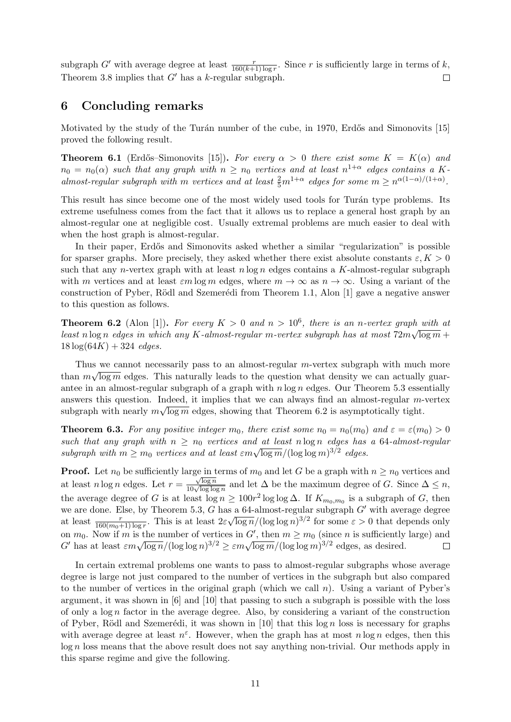subgraph G' with average degree at least  $\frac{r}{160(k+1)\log r}$ . Since r is sufficiently large in terms of k, Theorem [3.8](#page-5-1) implies that  $G'$  has a k-regular subgraph.  $\Box$ 

# <span id="page-10-0"></span>6 Concluding remarks

Motivated by the study of the Turán number of the cube, in 1970, Erdős and Simonovits [\[15\]](#page-12-5) proved the following result.

**Theorem 6.1** (Erdős–Simonovits [\[15\]](#page-12-5)). For every  $\alpha > 0$  there exist some  $K = K(\alpha)$  and  $n_0 = n_0(\alpha)$  such that any graph with  $n \ge n_0$  vertices and at least  $n^{1+\alpha}$  edges contains a Kalmost-regular subgraph with m vertices and at least  $\frac{2}{5}m^{1+\alpha}$  edges for some  $m \geq n^{\alpha(1-\alpha)/(1+\alpha)}$ .

This result has since become one of the most widely used tools for Turán type problems. Its extreme usefulness comes from the fact that it allows us to replace a general host graph by an almost-regular one at negligible cost. Usually extremal problems are much easier to deal with when the host graph is almost-regular.

In their paper, Erdős and Simonovits asked whether a similar "regularization" is possible for sparser graphs. More precisely, they asked whether there exist absolute constants  $\varepsilon, K > 0$ such that any *n*-vertex graph with at least  $n \log n$  edges contains a K-almost-regular subgraph with m vertices and at least  $\varepsilon m \log m$  edges, where  $m \to \infty$  as  $n \to \infty$ . Using a variant of the construction of Pyber, Rödl and Szemerédi from Theorem [1.1,](#page-1-1) Alon  $[1]$  gave a negative answer to this question as follows.

<span id="page-10-1"></span>**Theorem 6.2** (Alon [\[1\]](#page-11-0)). For every  $K > 0$  and  $n > 10^6$ , there is an n-vertex graph with at least n log n edges in which any K-almost-regular m-vertex subgraph has at most  $72m\sqrt{\log m}$  +  $18 \log(64K) + 324 \text{ edges}.$ 

Thus we cannot necessarily pass to an almost-regular *m*-vertex subgraph with much more than  $m\sqrt{\log m}$  edges. This naturally leads to the question what density we can actually guarantee in an almost-regular subgraph of a graph with  $n \log n$  edges. Our Theorem [5.3](#page-9-0) essentially answers this question. Indeed, it implies that we can always find an almost-regular m-vertex subgraph with nearly  $m\sqrt{\log m}$  edges, showing that Theorem [6.2](#page-10-1) is asymptotically tight.

**Theorem 6.3.** For any positive integer  $m_0$ , there exist some  $n_0 = n_0(m_0)$  and  $\varepsilon = \varepsilon(m_0) > 0$ such that any graph with  $n \ge n_0$  vertices and at least n log n edges has a 64-almost-regular such that any graph with  $n \ge n_0$  vertices and at  $\frac{u}{\log m}/(\log \log m)^{3/2}$  edges.

**Proof.** Let  $n_0$  be sufficiently large in terms of  $m_0$  and let G be a graph with  $n \geq n_0$  vertices and  $\frac{\sqrt{\log n}}{10\sqrt{\log \log n}}$  and let  $\Delta$  be the maximum degree of G. Since  $\Delta \leq n$ , at least  $n \log n$  edges. Let  $r =$ the average degree of G is at least  $\log n \ge 100r^2 \log \log \Delta$ . If  $K_{m_0,m_0}$  is a subgraph of G, then we are done. Else, by Theorem [5.3,](#page-9-0)  $G$  has a 64-almost-regular subgraph  $G'$  with average degree  $^{\circ}$  √ at least  $\frac{r}{160(m_0+1)\log r}$ . This is at least  $2\varepsilon$  $\overline{\log n}/(\log \log n)^{3/2}$  for some  $\varepsilon > 0$  that depends only on  $m_0$ . Now if m is the number of vertices in G', then  $m \geq m_0$  (since n is sufficiently large) and on  $m_0$ . Now in m is the number of vertices in G, then  $m \ge m_0$  (since n is summerty G' has at least  $\epsilon m \sqrt{\log n}/(\log \log n)^{3/2} \ge \epsilon m \sqrt{\log m}/(\log \log m)^{3/2}$  edges, as desired.  $\Box$ 

In certain extremal problems one wants to pass to almost-regular subgraphs whose average degree is large not just compared to the number of vertices in the subgraph but also compared to the number of vertices in the original graph (which we call  $n$ ). Using a variant of Pyber's argument, it was shown in [\[6\]](#page-12-15) and [\[10\]](#page-12-16) that passing to such a subgraph is possible with the loss of only a  $\log n$  factor in the average degree. Also, by considering a variant of the construction of Pyber, Rödl and Szemerédi, it was shown in [\[10\]](#page-12-16) that this  $\log n$  loss is necessary for graphs with average degree at least  $n^{\varepsilon}$ . However, when the graph has at most  $n \log n$  edges, then this  $log n$  loss means that the above result does not say anything non-trivial. Our methods apply in this sparse regime and give the following.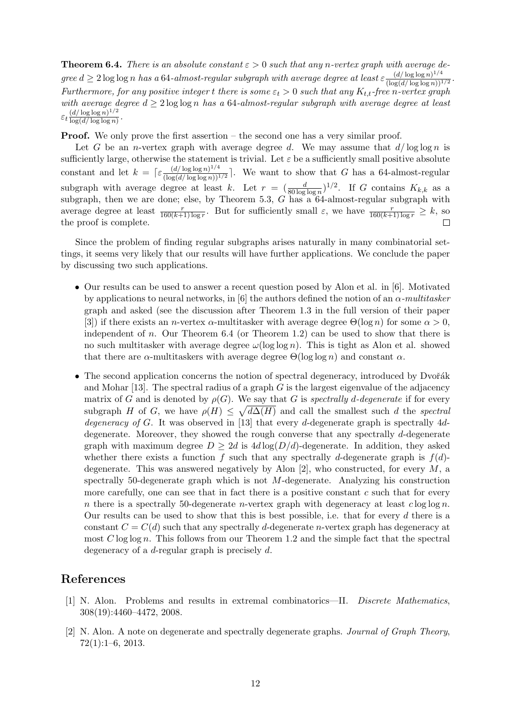<span id="page-11-1"></span>**Theorem 6.4.** There is an absolute constant  $\varepsilon > 0$  such that any n-vertex graph with average degree  $d \geq 2 \log \log n$  has a 64-almost-regular subgraph with average degree at least  $\varepsilon \frac{(d/\log \log n)^{1/4}}{(\log (d/\log \log n))^2}$  $\frac{(a/\log\log n)^{-\gamma}}{(\log(d/\log\log n))^{1/2}}$ Furthermore, for any positive integer t there is some  $\varepsilon_t > 0$  such that any  $K_{t,t}$ -free n-vertex graph with average degree  $d \geq 2 \log \log n$  has a 64-almost-regular subgraph with average degree at least  $\varepsilon_t \frac{(d/\log\log n)^{1/2}}{\log(d/\log\log n)}$  $\frac{(a/\log \log n)^{-1}}{\log(d/\log \log n)}$ .

Proof. We only prove the first assertion – the second one has a very similar proof.

Let G be an *n*-vertex graph with average degree d. We may assume that  $d/\log \log n$  is sufficiently large, otherwise the statement is trivial. Let  $\varepsilon$  be a sufficiently small positive absolute constant and let  $k = \lceil \varepsilon \frac{(d/\log \log n)^{1/4}}{(\log (d/\log \log n))^{1/2}} \rceil$ . We want to show that G has a 64-almost-regular subgraph with average degree at least k. Let  $r = (\frac{d}{80 \log \log n})^{1/2}$ . If G contains  $K_{k,k}$  as a subgraph, then we are done; else, by Theorem [5.3,](#page-9-0) G has a 64-almost-regular subgraph with average degree at least  $\frac{r}{160(k+1)\log r}$ . But for sufficiently small  $\varepsilon$ , we have  $\frac{r}{160(k+1)\log r} \geq k$ , so the proof is complete.

Since the problem of finding regular subgraphs arises naturally in many combinatorial settings, it seems very likely that our results will have further applications. We conclude the paper by discussing two such applications.

- Our results can be used to answer a recent question posed by Alon et al. in [\[6\]](#page-12-15). Motivated by applications to neural networks, in [\[6\]](#page-12-15) the authors defined the notion of an  $\alpha$ -multitasker graph and asked (see the discussion after Theorem 1.3 in the full version of their paper [\[3\]](#page-12-17)) if there exists an *n*-vertex  $\alpha$ -multitasker with average degree  $\Theta(\log n)$  for some  $\alpha > 0$ , independent of n. Our Theorem  $6.4$  (or Theorem [1.2\)](#page-1-0) can be used to show that there is no such multitasker with average degree  $\omega(\log \log n)$ . This is tight as Alon et al. showed that there are  $\alpha$ -multitaskers with average degree  $\Theta(\log \log n)$  and constant  $\alpha$ .
- The second application concerns the notion of spectral degeneracy, introduced by Dvořák and Mohar  $[13]$ . The spectral radius of a graph G is the largest eigenvalue of the adjacency matrix of G and is denoted by  $\rho(G)$ . We say that G is spectrally d-degenerate if for every subgraph H of G, we have  $\rho(H) \leq \sqrt{d\Delta(H)}$  and call the smallest such d the spectral degeneracy of G. It was observed in [\[13\]](#page-12-18) that every d-degenerate graph is spectrally  $4d$ degenerate. Moreover, they showed the rough converse that any spectrally d-degenerate graph with maximum degree  $D \geq 2d$  is  $4d \log(D/d)$ -degenerate. In addition, they asked whether there exists a function f such that any spectrally d-degenerate graph is  $f(d)$ degenerate. This was answered negatively by Alon  $[2]$ , who constructed, for every M, a spectrally 50-degenerate graph which is not  $M$ -degenerate. Analyzing his construction more carefully, one can see that in fact there is a positive constant  $c$  such that for every n there is a spectrally 50-degenerate n-vertex graph with degeneracy at least  $c \log \log n$ . Our results can be used to show that this is best possible, i.e. that for every  $d$  there is a constant  $C = C(d)$  such that any spectrally d-degenerate n-vertex graph has degeneracy at most  $C \log \log n$ . This follows from our Theorem [1.2](#page-1-0) and the simple fact that the spectral degeneracy of a d-regular graph is precisely d.

# References

- <span id="page-11-0"></span>[1] N. Alon. Problems and results in extremal combinatorics—II. Discrete Mathematics, 308(19):4460–4472, 2008.
- <span id="page-11-2"></span>[2] N. Alon. A note on degenerate and spectrally degenerate graphs. Journal of Graph Theory, 72(1):1–6, 2013.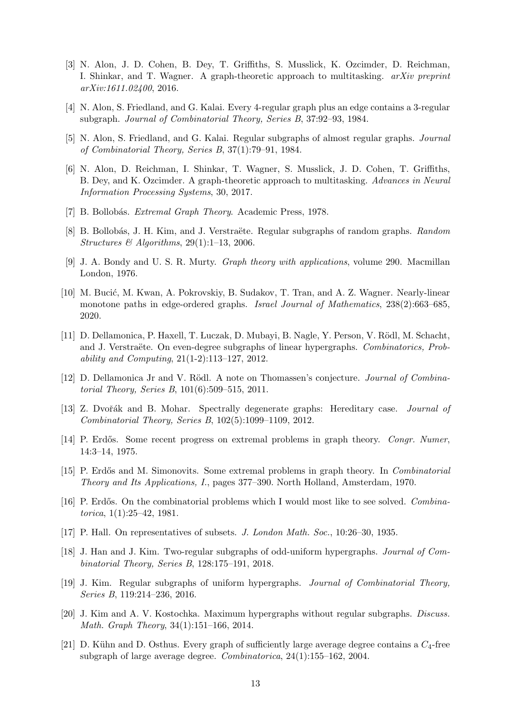- <span id="page-12-17"></span>[3] N. Alon, J. D. Cohen, B. Dey, T. Griffiths, S. Musslick, K. Ozcimder, D. Reichman, I. Shinkar, and T. Wagner. A graph-theoretic approach to multitasking.  $arXiv$  preprint arXiv:1611.02400, 2016.
- <span id="page-12-6"></span>[4] N. Alon, S. Friedland, and G. Kalai. Every 4-regular graph plus an edge contains a 3-regular subgraph. Journal of Combinatorial Theory, Series B, 37:92–93, 1984.
- <span id="page-12-7"></span>[5] N. Alon, S. Friedland, and G. Kalai. Regular subgraphs of almost regular graphs. Journal of Combinatorial Theory, Series B, 37(1):79–91, 1984.
- <span id="page-12-15"></span>[6] N. Alon, D. Reichman, I. Shinkar, T. Wagner, S. Musslick, J. D. Cohen, T. Griffiths, B. Dey, and K. Ozcimder. A graph-theoretic approach to multitasking. Advances in Neural Information Processing Systems, 30, 2017.
- <span id="page-12-2"></span>[7] B. Bollobás. Extremal Graph Theory. Academic Press, 1978.
- <span id="page-12-8"></span>[8] B. Bollobás, J. H. Kim, and J. Verstraëte. Regular subgraphs of random graphs. Random Structures & Algorithms,  $29(1):1-13$ , 2006.
- <span id="page-12-3"></span>[9] J. A. Bondy and U. S. R. Murty. Graph theory with applications, volume 290. Macmillan London, 1976.
- <span id="page-12-16"></span>[10] M. Bucić, M. Kwan, A. Pokrovskiy, B. Sudakov, T. Tran, and A. Z. Wagner. Nearly-linear monotone paths in edge-ordered graphs. Israel Journal of Mathematics, 238(2):663–685, 2020.
- <span id="page-12-9"></span>[11] D. Dellamonica, P. Haxell, T. Łuczak, D. Mubayi, B. Nagle, Y. Person, V. Rödl, M. Schacht, and J. Verstraëte. On even-degree subgraphs of linear hypergraphs. Combinatorics, Probability and Computing, 21(1-2):113–127, 2012.
- <span id="page-12-14"></span>[12] D. Dellamonica Jr and V. Rödl. A note on Thomassen's conjecture. *Journal of Combina*torial Theory, Series B, 101(6):509–515, 2011.
- <span id="page-12-18"></span>[13] Z. Dvořák and B. Mohar. Spectrally degenerate graphs: Hereditary case. Journal of Combinatorial Theory, Series B, 102(5):1099–1109, 2012.
- <span id="page-12-1"></span>[14] P. Erdős. Some recent progress on extremal problems in graph theory. Congr. Numer, 14:3–14, 1975.
- <span id="page-12-5"></span>[15] P. Erd˝os and M. Simonovits. Some extremal problems in graph theory. In Combinatorial Theory and Its Applications, I., pages 377–390. North Holland, Amsterdam, 1970.
- <span id="page-12-4"></span>[16] P. Erdős. On the combinatorial problems which I would most like to see solved. Combinatorica, 1(1):25–42, 1981.
- <span id="page-12-0"></span>[17] P. Hall. On representatives of subsets. J. London Math. Soc., 10:26–30, 1935.
- <span id="page-12-12"></span>[18] J. Han and J. Kim. Two-regular subgraphs of odd-uniform hypergraphs. Journal of Combinatorial Theory, Series B, 128:175–191, 2018.
- <span id="page-12-11"></span>[19] J. Kim. Regular subgraphs of uniform hypergraphs. Journal of Combinatorial Theory, Series B, 119:214–236, 2016.
- <span id="page-12-10"></span>[20] J. Kim and A. V. Kostochka. Maximum hypergraphs without regular subgraphs. Discuss. Math. Graph Theory, 34(1):151–166, 2014.
- <span id="page-12-13"></span>[21] D. Kühn and D. Osthus. Every graph of sufficiently large average degree contains a  $C_4$ -free subgraph of large average degree. Combinatorica, 24(1):155–162, 2004.